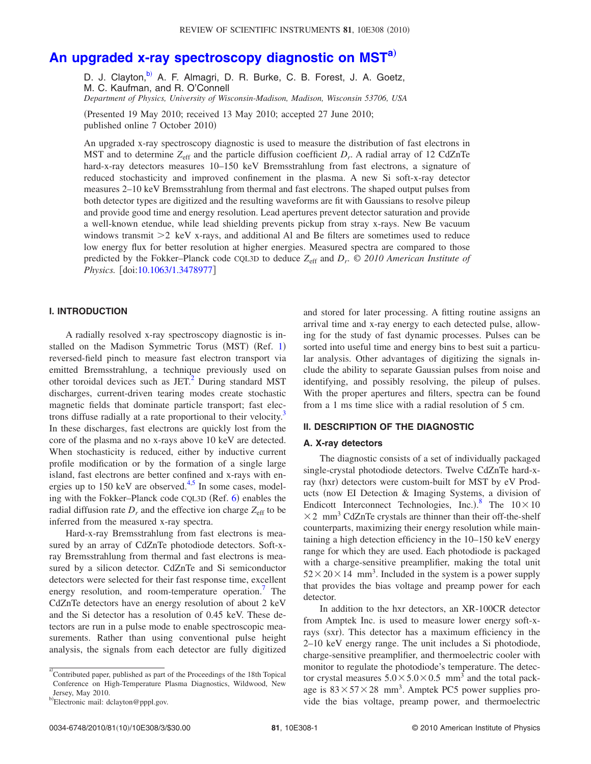# **[An upgraded x-ray spectroscopy diagnostic on MST](http://dx.doi.org/10.1063/1.3478977)[a](#page-0-0)**…

D. J. Clayton,<sup>b)</sup> A. F. Almagri, D. R. Burke, C. B. Forest, J. A. Goetz, M. C. Kaufman, and R. O'Connell

*Department of Physics, University of Wisconsin-Madison, Madison, Wisconsin 53706, USA*

(Presented 19 May 2010; received 13 May 2010; accepted 27 June 2010; published online 7 October 2010

An upgraded x-ray spectroscopy diagnostic is used to measure the distribution of fast electrons in MST and to determine  $Z_{\text{eff}}$  and the particle diffusion coefficient  $D_r$ . A radial array of 12 CdZnTe hard-x-ray detectors measures 10–150 keV Bremsstrahlung from fast electrons, a signature of reduced stochasticity and improved confinement in the plasma. A new Si soft-x-ray detector measures 2–10 keV Bremsstrahlung from thermal and fast electrons. The shaped output pulses from both detector types are digitized and the resulting waveforms are fit with Gaussians to resolve pileup and provide good time and energy resolution. Lead apertures prevent detector saturation and provide a well-known etendue, while lead shielding prevents pickup from stray x-rays. New Be vacuum windows transmit  $\geq 2$  keV x-rays, and additional Al and Be filters are sometimes used to reduce low energy flux for better resolution at higher energies. Measured spectra are compared to those predicted by the Fokker–Planck code CQL3D to deduce *Z*eff and *Dr*. *© 2010 American Institute of Physics.* [doi[:10.1063/1.3478977](http://dx.doi.org/10.1063/1.3478977)]

## **I. INTRODUCTION**

A radially resolved x-ray spectroscopy diagnostic is in-stalled on the Madison Symmetric Torus (MST) (Ref. [1](#page-2-0)) reversed-field pinch to measure fast electron transport via emitted Bremsstrahlung, a technique previously used on other toroidal devices such as  $JET<sup>2</sup>$  During standard MST discharges, current-driven tearing modes create stochastic magnetic fields that dominate particle transport; fast electrons diffuse radially at a rate proportional to their velocity.<sup>3</sup> In these discharges, fast electrons are quickly lost from the core of the plasma and no x-rays above 10 keV are detected. When stochasticity is reduced, either by inductive current profile modification or by the formation of a single large island, fast electrons are better confined and x-rays with energies up to  $150 \text{ keV}$  are observed.<sup>4[,5](#page-2-4)</sup> In some cases, model-ing with the Fokker-Planck code CQL3D (Ref. [6](#page-2-5)) enables the radial diffusion rate  $D_r$  and the effective ion charge  $Z_{\text{eff}}$  to be inferred from the measured x-ray spectra.

Hard-x-ray Bremsstrahlung from fast electrons is measured by an array of CdZnTe photodiode detectors. Soft-xray Bremsstrahlung from thermal and fast electrons is measured by a silicon detector. CdZnTe and Si semiconductor detectors were selected for their fast response time, excellent energy resolution, and room-temperature operation. The CdZnTe detectors have an energy resolution of about 2 keV and the Si detector has a resolution of 0.45 keV. These detectors are run in a pulse mode to enable spectroscopic measurements. Rather than using conventional pulse height analysis, the signals from each detector are fully digitized and stored for later processing. A fitting routine assigns an arrival time and x-ray energy to each detected pulse, allowing for the study of fast dynamic processes. Pulses can be sorted into useful time and energy bins to best suit a particular analysis. Other advantages of digitizing the signals include the ability to separate Gaussian pulses from noise and identifying, and possibly resolving, the pileup of pulses. With the proper apertures and filters, spectra can be found from a 1 ms time slice with a radial resolution of 5 cm.

#### **II. DESCRIPTION OF THE DIAGNOSTIC**

#### **A. X-ray detectors**

The diagnostic consists of a set of individually packaged single-crystal photodiode detectors. Twelve CdZnTe hard-xray (hxr) detectors were custom-built for MST by eV Products (now EI Detection & Imaging Systems, a division of Endicott Interconnect Technologies, Inc.).<sup>[8](#page-2-7)</sup> The  $10 \times 10$  $\times$  2 mm<sup>3</sup> CdZnTe crystals are thinner than their off-the-shelf counterparts, maximizing their energy resolution while maintaining a high detection efficiency in the 10–150 keV energy range for which they are used. Each photodiode is packaged with a charge-sensitive preamplifier, making the total unit  $52 \times 20 \times 14$  mm<sup>3</sup>. Included in the system is a power supply that provides the bias voltage and preamp power for each detector.

In addition to the hxr detectors, an XR-100CR detector from Amptek Inc. is used to measure lower energy soft-xrays (sxr). This detector has a maximum efficiency in the 2–10 keV energy range. The unit includes a Si photodiode, charge-sensitive preamplifier, and thermoelectric cooler with monitor to regulate the photodiode's temperature. The detector crystal measures  $5.0 \times 5.0 \times 0.5$  mm<sup>3</sup> and the total package is  $83 \times 57 \times 28$  mm<sup>3</sup>. Amptek PC5 power supplies provide the bias voltage, preamp power, and thermoelectric

<span id="page-0-0"></span>a)<br>Contributed paper, published as part of the Proceedings of the 18th Topical Conference on High-Temperature Plasma Diagnostics, Wildwood, New Jersey, May 2010.

<span id="page-0-1"></span>b)Electronic mail: dclayton@pppl.gov.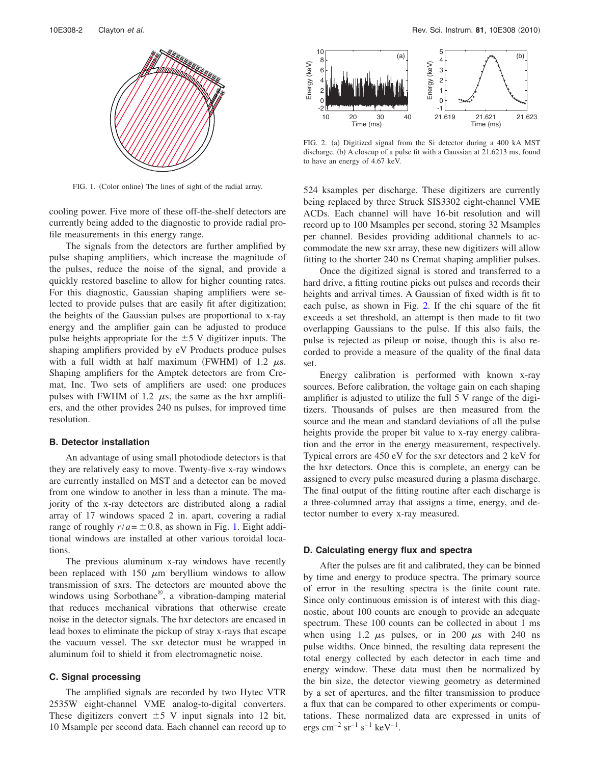<span id="page-1-0"></span>

FIG. 1. (Color online) The lines of sight of the radial array.

cooling power. Five more of these off-the-shelf detectors are currently being added to the diagnostic to provide radial profile measurements in this energy range.

The signals from the detectors are further amplified by pulse shaping amplifiers, which increase the magnitude of the pulses, reduce the noise of the signal, and provide a quickly restored baseline to allow for higher counting rates. For this diagnostic, Gaussian shaping amplifiers were selected to provide pulses that are easily fit after digitization; the heights of the Gaussian pulses are proportional to x-ray energy and the amplifier gain can be adjusted to produce pulse heights appropriate for the  $\pm$  5 V digitizer inputs. The shaping amplifiers provided by eV Products produce pulses with a full width at half maximum (FWHM) of 1.2  $\mu$ s. Shaping amplifiers for the Amptek detectors are from Cremat, Inc. Two sets of amplifiers are used: one produces pulses with FWHM of 1.2  $\mu$ s, the same as the hxr amplifiers, and the other provides 240 ns pulses, for improved time resolution.

### **B. Detector installation**

An advantage of using small photodiode detectors is that they are relatively easy to move. Twenty-five x-ray windows are currently installed on MST and a detector can be moved from one window to another in less than a minute. The majority of the x-ray detectors are distributed along a radial array of 17 windows spaced 2 in. apart, covering a radial range of roughly  $r/a = \pm 0.8$ , as shown in Fig. [1.](#page-1-0) Eight additional windows are installed at other various toroidal locations.

The previous aluminum x-ray windows have recently been replaced with 150  $\mu$ m beryllium windows to allow transmission of sxrs. The detectors are mounted above the windows using Sorbothane®, a vibration-damping material that reduces mechanical vibrations that otherwise create noise in the detector signals. The hxr detectors are encased in lead boxes to eliminate the pickup of stray x-rays that escape the vacuum vessel. The sxr detector must be wrapped in aluminum foil to shield it from electromagnetic noise.

#### **C. Signal processing**

The amplified signals are recorded by two Hytec VTR 2535W eight-channel VME analog-to-digital converters. These digitizers convert  $\pm 5$  V input signals into 12 bit, 10 Msample per second data. Each channel can record up to

<span id="page-1-1"></span>

FIG. 2. (a) Digitized signal from the Si detector during a 400 kA MST discharge. (b) A closeup of a pulse fit with a Gaussian at 21.6213 ms, found to have an energy of 4.67 keV.

524 ksamples per discharge. These digitizers are currently being replaced by three Struck SIS3302 eight-channel VME ACDs. Each channel will have 16-bit resolution and will record up to 100 Msamples per second, storing 32 Msamples per channel. Besides providing additional channels to accommodate the new sxr array, these new digitizers will allow fitting to the shorter 240 ns Cremat shaping amplifier pulses.

Once the digitized signal is stored and transferred to a hard drive, a fitting routine picks out pulses and records their heights and arrival times. A Gaussian of fixed width is fit to each pulse, as shown in Fig. [2.](#page-1-1) If the chi square of the fit exceeds a set threshold, an attempt is then made to fit two overlapping Gaussians to the pulse. If this also fails, the pulse is rejected as pileup or noise, though this is also recorded to provide a measure of the quality of the final data set.

Energy calibration is performed with known x-ray sources. Before calibration, the voltage gain on each shaping amplifier is adjusted to utilize the full 5 V range of the digitizers. Thousands of pulses are then measured from the source and the mean and standard deviations of all the pulse heights provide the proper bit value to x-ray energy calibration and the error in the energy measurement, respectively. Typical errors are 450 eV for the sxr detectors and 2 keV for the hxr detectors. Once this is complete, an energy can be assigned to every pulse measured during a plasma discharge. The final output of the fitting routine after each discharge is a three-columned array that assigns a time, energy, and detector number to every x-ray measured.

#### **D. Calculating energy flux and spectra**

After the pulses are fit and calibrated, they can be binned by time and energy to produce spectra. The primary source of error in the resulting spectra is the finite count rate. Since only continuous emission is of interest with this diagnostic, about 100 counts are enough to provide an adequate spectrum. These 100 counts can be collected in about 1 ms when using 1.2  $\mu$ s pulses, or in 200  $\mu$ s with 240 ns pulse widths. Once binned, the resulting data represent the total energy collected by each detector in each time and energy window. These data must then be normalized by the bin size, the detector viewing geometry as determined by a set of apertures, and the filter transmission to produce a flux that can be compared to other experiments or computations. These normalized data are expressed in units of ergs cm<sup>-2</sup> sr<sup>-1</sup> s<sup>-1</sup> keV<sup>-1</sup>.